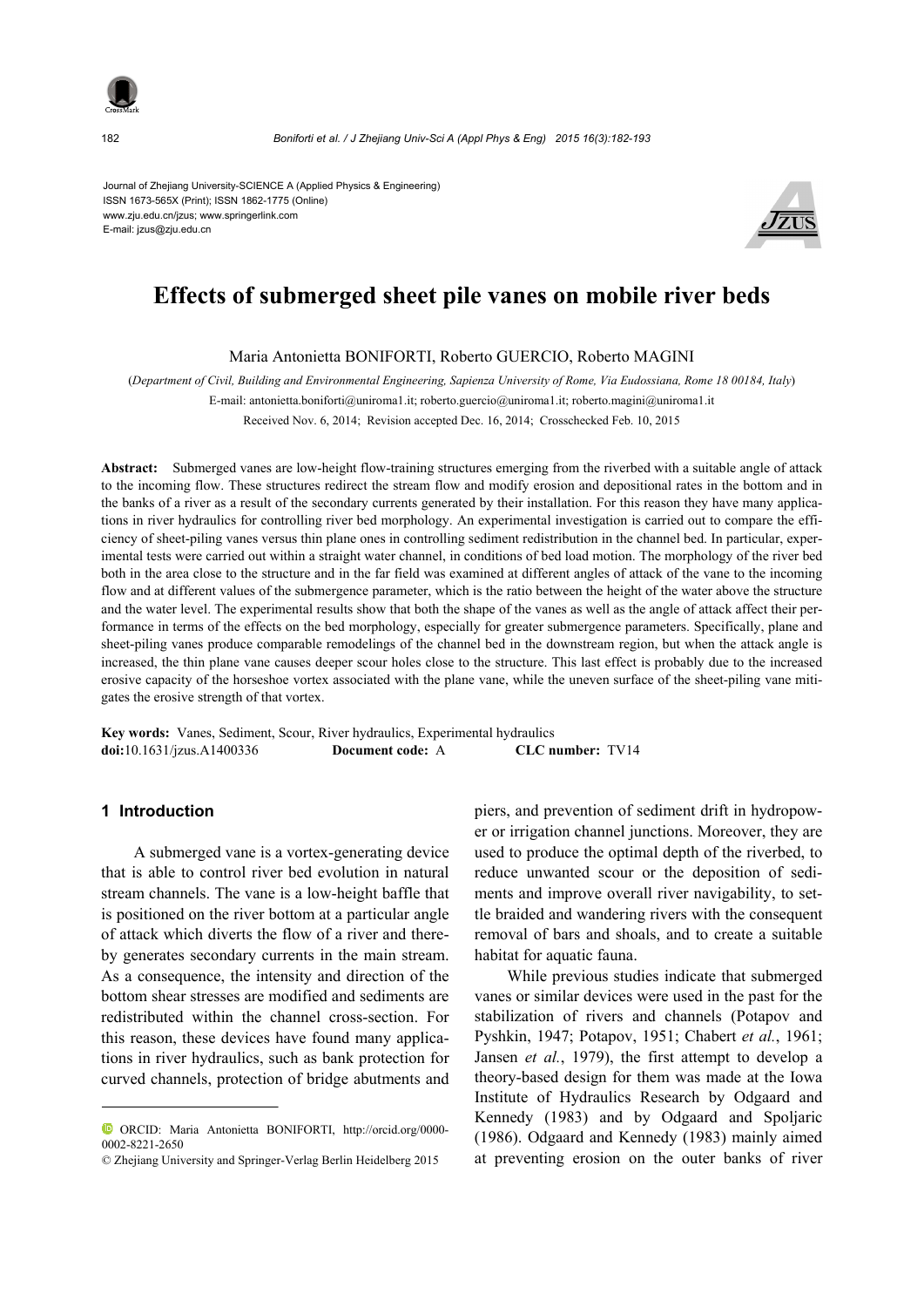

182 *Boniforti et al. / J Zhejiang Univ-Sci A (Appl Phys & Eng) 2015 16(3):182-193*

Journal of Zhejiang University-SCIENCE A (Applied Physics & Engineering) ISSN 1673-565X (Print); ISSN 1862-1775 (Online) www.zju.edu.cn/jzus; www.springerlink.com E-mail: jzus@zju.edu.cn



# **Effects of submerged sheet pile vanes on mobile river beds**

Maria Antonietta BONIFORTI, Roberto GUERCIO, Roberto MAGINI

(*Department of Civil, Building and Environmental Engineering, Sapienza University of Rome, Via Eudossiana, Rome 18 00184, Italy*)

E-mail: antonietta.boniforti@uniroma1.it; roberto.guercio@uniroma1.it; roberto.magini@uniroma1.it

Received Nov. 6, 2014; Revision accepted Dec. 16, 2014; Crosschecked Feb. 10, 2015

**Abstract:** Submerged vanes are low-height flow-training structures emerging from the riverbed with a suitable angle of attack to the incoming flow. These structures redirect the stream flow and modify erosion and depositional rates in the bottom and in the banks of a river as a result of the secondary currents generated by their installation. For this reason they have many applications in river hydraulics for controlling river bed morphology. An experimental investigation is carried out to compare the efficiency of sheet-piling vanes versus thin plane ones in controlling sediment redistribution in the channel bed. In particular, experimental tests were carried out within a straight water channel, in conditions of bed load motion. The morphology of the river bed both in the area close to the structure and in the far field was examined at different angles of attack of the vane to the incoming flow and at different values of the submergence parameter, which is the ratio between the height of the water above the structure and the water level. The experimental results show that both the shape of the vanes as well as the angle of attack affect their performance in terms of the effects on the bed morphology, especially for greater submergence parameters. Specifically, plane and sheet-piling vanes produce comparable remodelings of the channel bed in the downstream region, but when the attack angle is increased, the thin plane vane causes deeper scour holes close to the structure. This last effect is probably due to the increased erosive capacity of the horseshoe vortex associated with the plane vane, while the uneven surface of the sheet-piling vane mitigates the erosive strength of that vortex.

**Key words:** Vanes, Sediment, Scour, River hydraulics, Experimental hydraulics **doi:**10.1631/jzus.A1400336 **Document code:** A **CLC number:** TV14

### **1 Introduction**

A submerged vane is a vortex-generating device that is able to control river bed evolution in natural stream channels. The vane is a low-height baffle that is positioned on the river bottom at a particular angle of attack which diverts the flow of a river and thereby generates secondary currents in the main stream. As a consequence, the intensity and direction of the bottom shear stresses are modified and sediments are redistributed within the channel cross-section. For this reason, these devices have found many applications in river hydraulics, such as bank protection for curved channels, protection of bridge abutments and

piers, and prevention of sediment drift in hydropower or irrigation channel junctions. Moreover, they are used to produce the optimal depth of the riverbed, to reduce unwanted scour or the deposition of sediments and improve overall river navigability, to settle braided and wandering rivers with the consequent removal of bars and shoals, and to create a suitable habitat for aquatic fauna.

While previous studies indicate that submerged vanes or similar devices were used in the past for the stabilization of rivers and channels (Potapov and Pyshkin, 1947; Potapov, 1951; Chabert *et al.*, 1961; Jansen *et al.*, 1979), the first attempt to develop a theory-based design for them was made at the Iowa Institute of Hydraulics Research by Odgaard and Kennedy (1983) and by Odgaard and Spoljaric (1986). Odgaard and Kennedy (1983) mainly aimed at preventing erosion on the outer banks of river

ORCID: Maria Antonietta BONIFORTI, http://orcid.org/0000- 0002-8221-2650

<sup>©</sup> Zhejiang University and Springer-Verlag Berlin Heidelberg 2015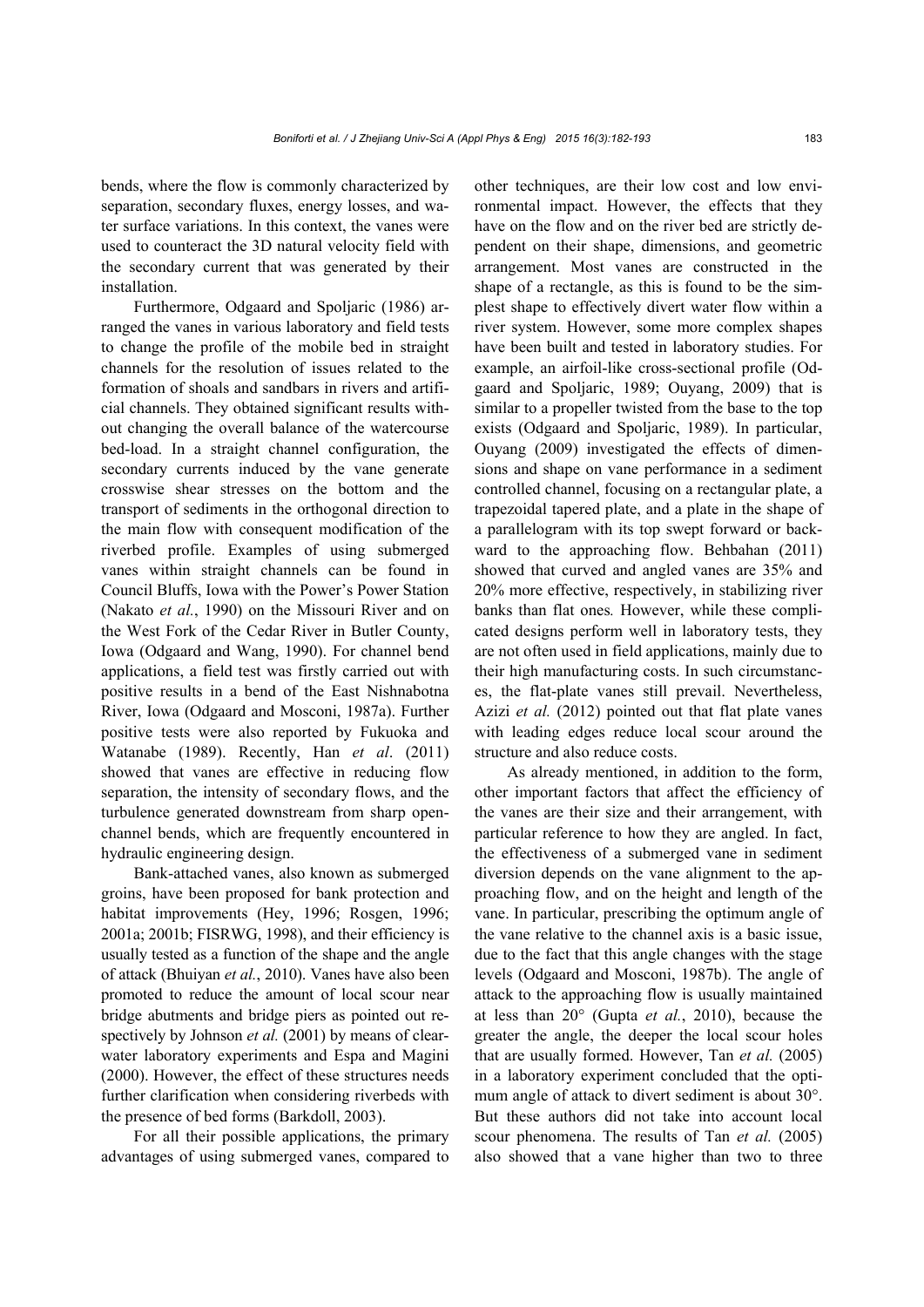bends, where the flow is commonly characterized by separation, secondary fluxes, energy losses, and water surface variations. In this context, the vanes were used to counteract the 3D natural velocity field with the secondary current that was generated by their installation.

Furthermore, Odgaard and Spoljaric (1986) arranged the vanes in various laboratory and field tests to change the profile of the mobile bed in straight channels for the resolution of issues related to the formation of shoals and sandbars in rivers and artificial channels. They obtained significant results without changing the overall balance of the watercourse bed-load. In a straight channel configuration, the secondary currents induced by the vane generate crosswise shear stresses on the bottom and the transport of sediments in the orthogonal direction to the main flow with consequent modification of the riverbed profile. Examples of using submerged vanes within straight channels can be found in Council Bluffs, Iowa with the Power's Power Station (Nakato *et al.*, 1990) on the Missouri River and on the West Fork of the Cedar River in Butler County, Iowa (Odgaard and Wang, 1990). For channel bend applications, a field test was firstly carried out with positive results in a bend of the East Nishnabotna River, Iowa (Odgaard and Mosconi, 1987a). Further positive tests were also reported by Fukuoka and Watanabe (1989). Recently, Han *et al*. (2011) showed that vanes are effective in reducing flow separation, the intensity of secondary flows, and the turbulence generated downstream from sharp openchannel bends, which are frequently encountered in hydraulic engineering design.

Bank-attached vanes, also known as submerged groins, have been proposed for bank protection and habitat improvements (Hey, 1996; Rosgen, 1996; 2001a; 2001b; FISRWG, 1998), and their efficiency is usually tested as a function of the shape and the angle of attack (Bhuiyan *et al.*, 2010). Vanes have also been promoted to reduce the amount of local scour near bridge abutments and bridge piers as pointed out respectively by Johnson *et al.* (2001) by means of clearwater laboratory experiments and Espa and Magini (2000). However, the effect of these structures needs further clarification when considering riverbeds with the presence of bed forms (Barkdoll, 2003).

For all their possible applications, the primary advantages of using submerged vanes, compared to other techniques, are their low cost and low environmental impact. However, the effects that they have on the flow and on the river bed are strictly dependent on their shape, dimensions, and geometric arrangement. Most vanes are constructed in the shape of a rectangle, as this is found to be the simplest shape to effectively divert water flow within a river system. However, some more complex shapes have been built and tested in laboratory studies. For example, an airfoil-like cross-sectional profile (Odgaard and Spoljaric, 1989; Ouyang, 2009) that is similar to a propeller twisted from the base to the top exists (Odgaard and Spoljaric, 1989). In particular, Ouyang (2009) investigated the effects of dimensions and shape on vane performance in a sediment controlled channel, focusing on a rectangular plate, a trapezoidal tapered plate, and a plate in the shape of a parallelogram with its top swept forward or backward to the approaching flow. Behbahan (2011) showed that curved and angled vanes are 35% and 20% more effective, respectively, in stabilizing river banks than flat ones*.* However, while these complicated designs perform well in laboratory tests, they are not often used in field applications, mainly due to their high manufacturing costs. In such circumstances, the flat-plate vanes still prevail. Nevertheless, Azizi *et al.* (2012) pointed out that flat plate vanes with leading edges reduce local scour around the structure and also reduce costs.

As already mentioned, in addition to the form, other important factors that affect the efficiency of the vanes are their size and their arrangement, with particular reference to how they are angled. In fact, the effectiveness of a submerged vane in sediment diversion depends on the vane alignment to the approaching flow, and on the height and length of the vane. In particular, prescribing the optimum angle of the vane relative to the channel axis is a basic issue, due to the fact that this angle changes with the stage levels (Odgaard and Mosconi, 1987b). The angle of attack to the approaching flow is usually maintained at less than 20° (Gupta *et al.*, 2010), because the greater the angle, the deeper the local scour holes that are usually formed. However, Tan *et al.* (2005) in a laboratory experiment concluded that the optimum angle of attack to divert sediment is about 30°. But these authors did not take into account local scour phenomena. The results of Tan *et al.* (2005) also showed that a vane higher than two to three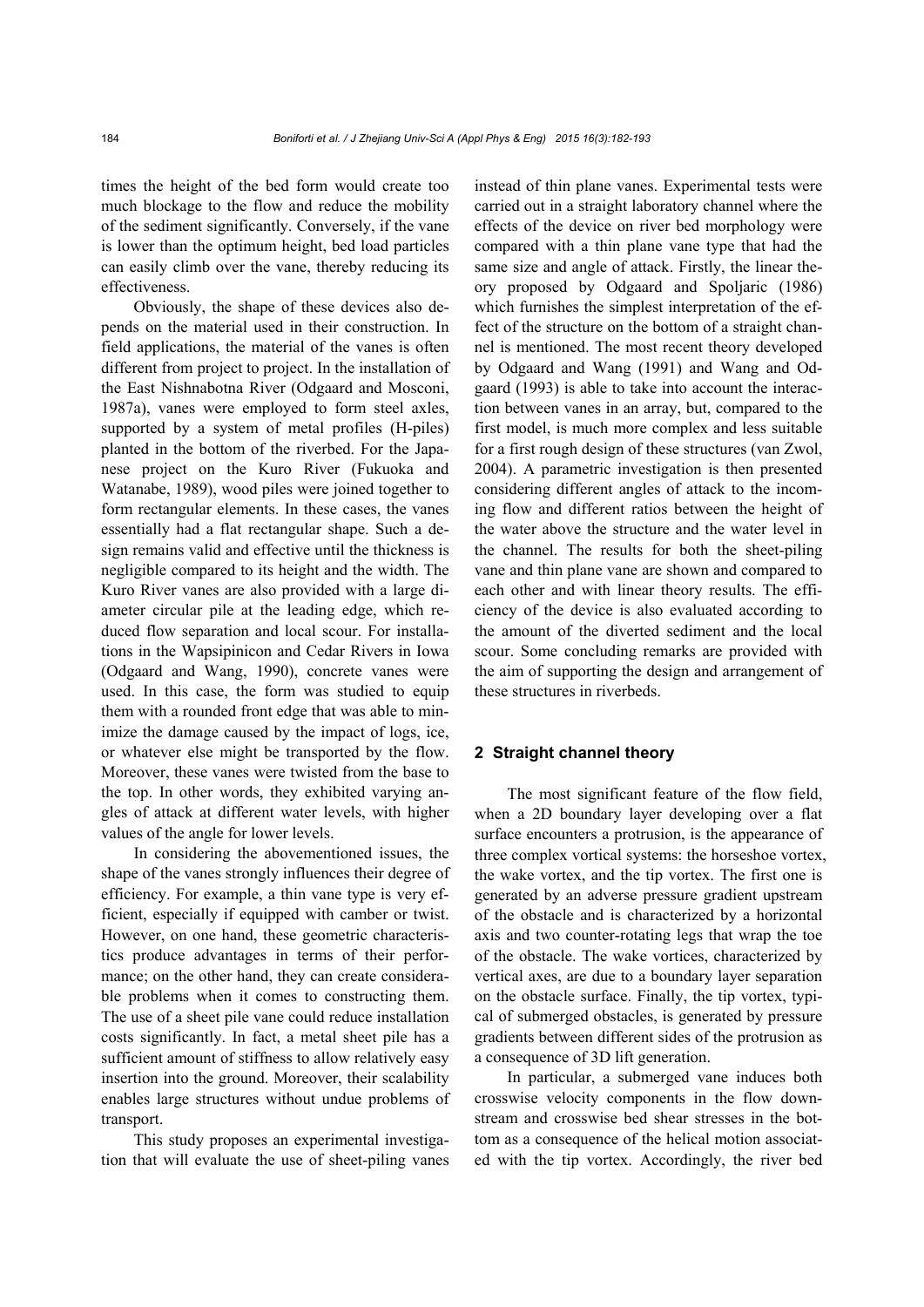times the height of the bed form would create too much blockage to the flow and reduce the mobility of the sediment significantly. Conversely, if the vane is lower than the optimum height, bed load particles can easily climb over the vane, thereby reducing its effectiveness.

Obviously, the shape of these devices also depends on the material used in their construction. In field applications, the material of the vanes is often different from project to project. In the installation of the East Nishnabotna River (Odgaard and Mosconi, 1987a), vanes were employed to form steel axles, supported by a system of metal profiles (H-piles) planted in the bottom of the riverbed. For the Japanese project on the Kuro River (Fukuoka and Watanabe, 1989), wood piles were joined together to form rectangular elements. In these cases, the vanes essentially had a flat rectangular shape. Such a design remains valid and effective until the thickness is negligible compared to its height and the width. The Kuro River vanes are also provided with a large diameter circular pile at the leading edge, which reduced flow separation and local scour. For installations in the Wapsipinicon and Cedar Rivers in Iowa (Odgaard and Wang, 1990), concrete vanes were used. In this case, the form was studied to equip them with a rounded front edge that was able to minimize the damage caused by the impact of logs, ice, or whatever else might be transported by the flow. Moreover, these vanes were twisted from the base to the top. In other words, they exhibited varying angles of attack at different water levels, with higher values of the angle for lower levels.

In considering the abovementioned issues, the shape of the vanes strongly influences their degree of efficiency. For example, a thin vane type is very efficient, especially if equipped with camber or twist. However, on one hand, these geometric characteristics produce advantages in terms of their performance; on the other hand, they can create considerable problems when it comes to constructing them. The use of a sheet pile vane could reduce installation costs significantly. In fact, a metal sheet pile has a sufficient amount of stiffness to allow relatively easy insertion into the ground. Moreover, their scalability enables large structures without undue problems of transport.

This study proposes an experimental investigation that will evaluate the use of sheet-piling vanes instead of thin plane vanes. Experimental tests were carried out in a straight laboratory channel where the effects of the device on river bed morphology were compared with a thin plane vane type that had the same size and angle of attack. Firstly, the linear theory proposed by Odgaard and Spoljaric (1986) which furnishes the simplest interpretation of the effect of the structure on the bottom of a straight channel is mentioned. The most recent theory developed by Odgaard and Wang (1991) and Wang and Odgaard (1993) is able to take into account the interaction between vanes in an array, but, compared to the first model, is much more complex and less suitable for a first rough design of these structures (van Zwol, 2004). A parametric investigation is then presented considering different angles of attack to the incoming flow and different ratios between the height of the water above the structure and the water level in the channel. The results for both the sheet-piling vane and thin plane vane are shown and compared to each other and with linear theory results. The efficiency of the device is also evaluated according to the amount of the diverted sediment and the local scour. Some concluding remarks are provided with the aim of supporting the design and arrangement of these structures in riverbeds.

#### **2 Straight channel theory**

The most significant feature of the flow field, when a 2D boundary layer developing over a flat surface encounters a protrusion, is the appearance of three complex vortical systems: the horseshoe vortex, the wake vortex, and the tip vortex. The first one is generated by an adverse pressure gradient upstream of the obstacle and is characterized by a horizontal axis and two counter-rotating legs that wrap the toe of the obstacle. The wake vortices, characterized by vertical axes, are due to a boundary layer separation on the obstacle surface. Finally, the tip vortex, typical of submerged obstacles, is generated by pressure gradients between different sides of the protrusion as a consequence of 3D lift generation.

In particular, a submerged vane induces both crosswise velocity components in the flow downstream and crosswise bed shear stresses in the bottom as a consequence of the helical motion associated with the tip vortex. Accordingly, the river bed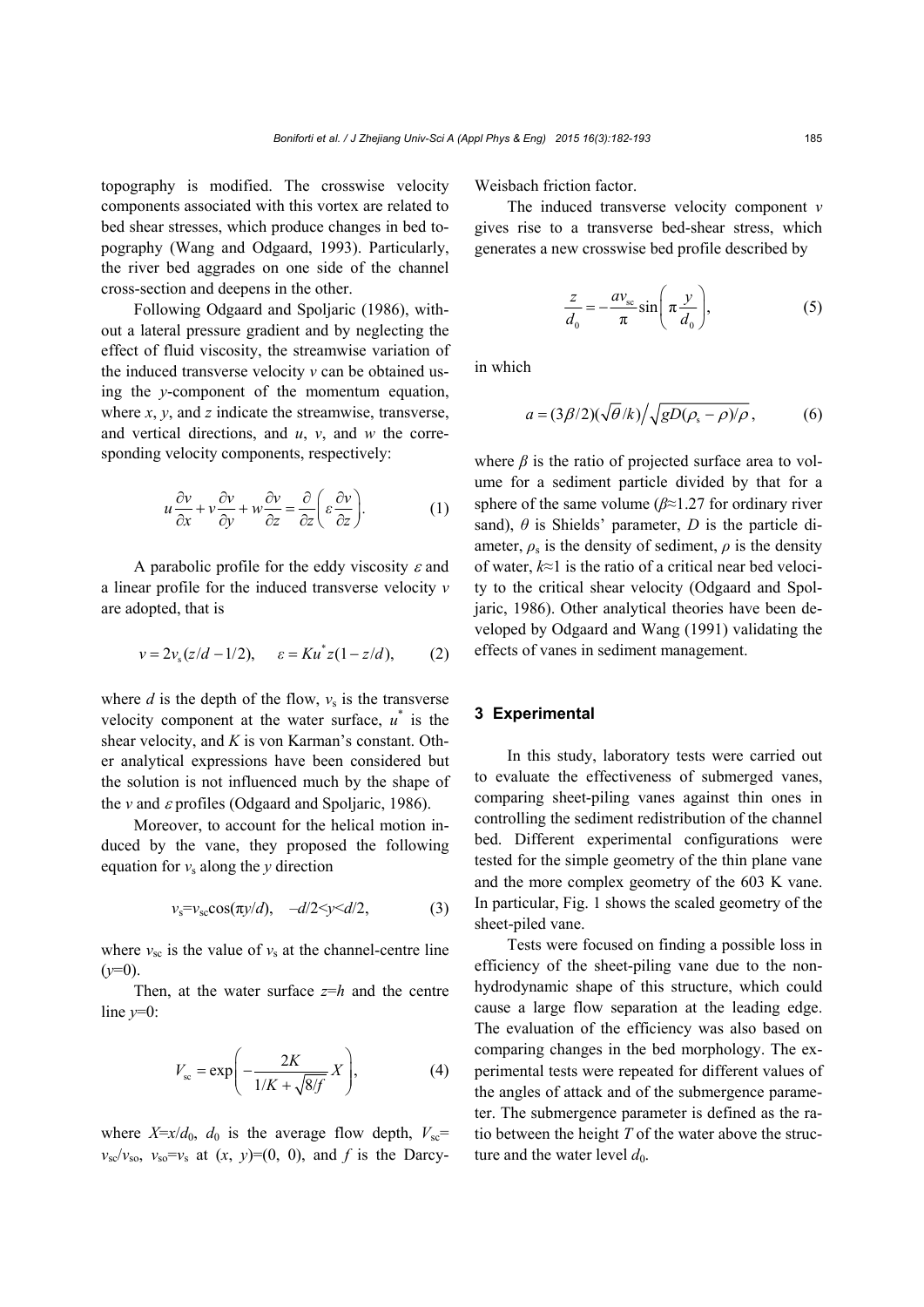topography is modified. The crosswise velocity components associated with this vortex are related to bed shear stresses, which produce changes in bed topography (Wang and Odgaard, 1993). Particularly, the river bed aggrades on one side of the channel cross-section and deepens in the other.

Following Odgaard and Spoljaric (1986), without a lateral pressure gradient and by neglecting the effect of fluid viscosity, the streamwise variation of the induced transverse velocity *v* can be obtained using the *y*-component of the momentum equation, where *x*, *y*, and *z* indicate the streamwise, transverse, and vertical directions, and *u*, *v*, and *w* the corresponding velocity components, respectively:

$$
u\frac{\partial v}{\partial x} + v\frac{\partial v}{\partial y} + w\frac{\partial v}{\partial z} = \frac{\partial}{\partial z} \left( \varepsilon \frac{\partial v}{\partial z} \right). \tag{1}
$$

A parabolic profile for the eddy viscosity  $\varepsilon$  and a linear profile for the induced transverse velocity *v* are adopted, that is

$$
v = 2v_s(z/d - 1/2), \quad \varepsilon = Ku^*z(1 - z/d),
$$
 (2)

where  $d$  is the depth of the flow,  $v_s$  is the transverse velocity component at the water surface,  $u^*$  is the shear velocity, and *K* is von Karman's constant. Other analytical expressions have been considered but the solution is not influenced much by the shape of the *v* and  $\varepsilon$  profiles (Odgaard and Spoljaric, 1986).

Moreover, to account for the helical motion induced by the vane, they proposed the following equation for  $v_s$  along the  $v$  direction

$$
v_s = v_{sc} \cos(\pi y/d), \quad -d/2 \le y \le d/2, \tag{3}
$$

where  $v_{\rm sc}$  is the value of  $v_{\rm s}$  at the channel-centre line  $(y=0)$ .

Then, at the water surface  $z=h$  and the centre line  $v=0$ :

$$
V_{\rm sc} = \exp\left(-\frac{2K}{1/K + \sqrt{8/f}}X\right),\tag{4}
$$

where  $X=x/d_0$ ,  $d_0$  is the average flow depth,  $V_{\text{sc}}=$  $v_{\rm sc}/v_{\rm so}$ ,  $v_{\rm so}=v_{\rm s}$  at  $(x, y)=(0, 0)$ , and  $f$  is the DarcyWeisbach friction factor.

The induced transverse velocity component *v* gives rise to a transverse bed-shear stress, which generates a new crosswise bed profile described by

$$
\frac{z}{d_0} = -\frac{av_{sc}}{\pi} \sin\left(\pi \frac{y}{d_0}\right),\tag{5}
$$

in which

$$
a = (3\beta/2)(\sqrt{\theta}/k) / \sqrt{gD(\rho_{\rm s} - \rho)/\rho}, \qquad (6)
$$

where  $\beta$  is the ratio of projected surface area to volume for a sediment particle divided by that for a sphere of the same volume (*β*≈1.27 for ordinary river sand),  $\theta$  is Shields' parameter, *D* is the particle diameter,  $\rho_s$  is the density of sediment,  $\rho$  is the density of water, *k*≈1 is the ratio of a critical near bed velocity to the critical shear velocity (Odgaard and Spoljaric, 1986). Other analytical theories have been developed by Odgaard and Wang (1991) validating the effects of vanes in sediment management.

#### **3 Experimental**

In this study, laboratory tests were carried out to evaluate the effectiveness of submerged vanes, comparing sheet-piling vanes against thin ones in controlling the sediment redistribution of the channel bed. Different experimental configurations were tested for the simple geometry of the thin plane vane and the more complex geometry of the 603 K vane. In particular, Fig. 1 shows the scaled geometry of the sheet-piled vane.

Tests were focused on finding a possible loss in efficiency of the sheet-piling vane due to the nonhydrodynamic shape of this structure, which could cause a large flow separation at the leading edge. The evaluation of the efficiency was also based on comparing changes in the bed morphology. The experimental tests were repeated for different values of the angles of attack and of the submergence parameter. The submergence parameter is defined as the ratio between the height *T* of the water above the structure and the water level  $d_0$ .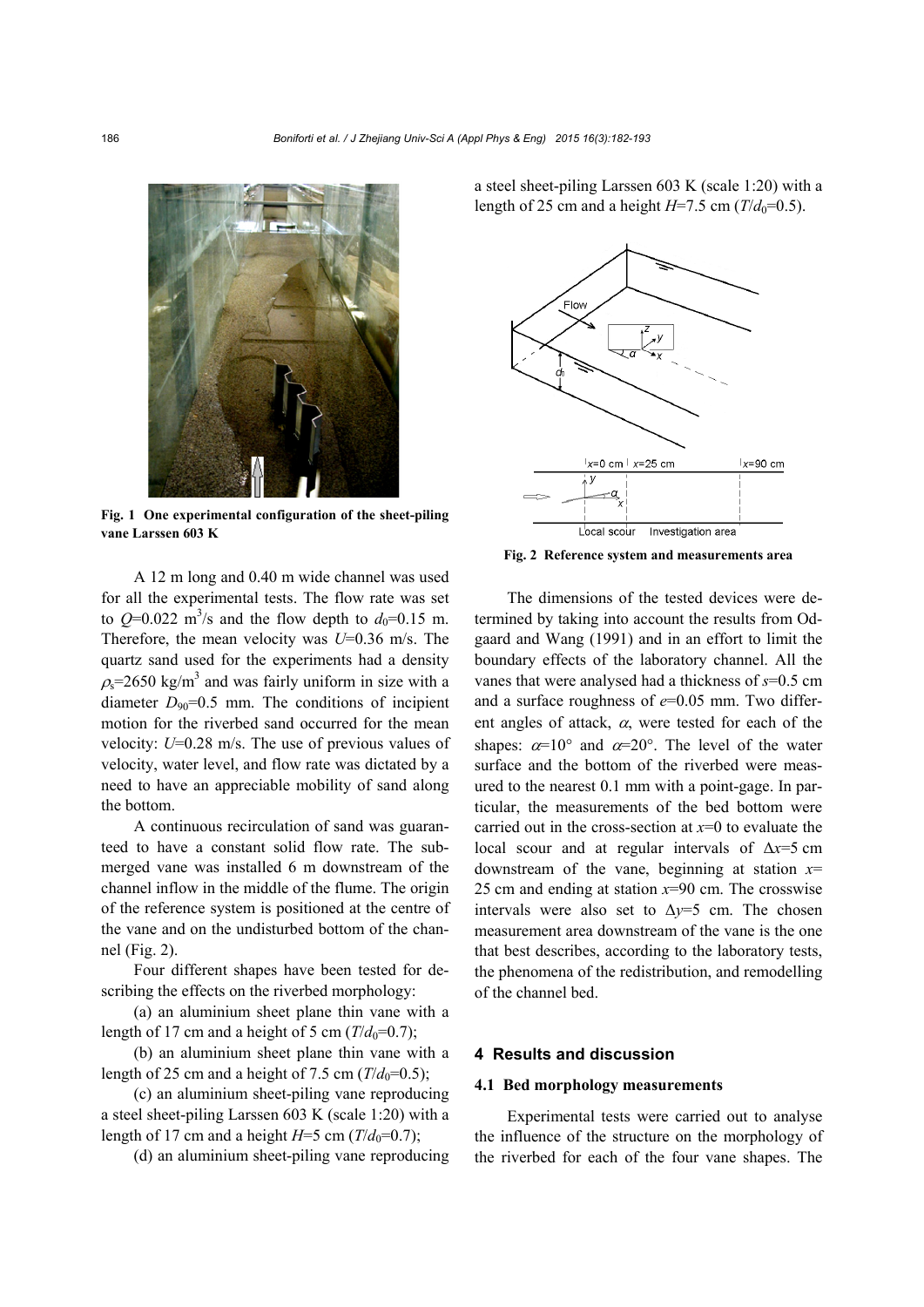

**Fig. 1 One experimental configuration of the sheet-piling vane Larssen 603 K** 

A 12 m long and 0.40 m wide channel was used for all the experimental tests. The flow rate was set to  $Q=0.022 \text{ m}^3/\text{s}$  and the flow depth to  $d_0=0.15 \text{ m}$ . Therefore, the mean velocity was *U*=0.36 m/s. The quartz sand used for the experiments had a density  $\rho$ <sub>s</sub>=2650 kg/m<sup>3</sup> and was fairly uniform in size with a diameter  $D_{90}=0.5$  mm. The conditions of incipient motion for the riverbed sand occurred for the mean velocity: *U*=0.28 m/s. The use of previous values of velocity, water level, and flow rate was dictated by a need to have an appreciable mobility of sand along the bottom.

A continuous recirculation of sand was guaranteed to have a constant solid flow rate. The submerged vane was installed 6 m downstream of the channel inflow in the middle of the flume. The origin of the reference system is positioned at the centre of the vane and on the undisturbed bottom of the channel (Fig. 2).

Four different shapes have been tested for describing the effects on the riverbed morphology:

(a) an aluminium sheet plane thin vane with a length of 17 cm and a height of 5 cm  $(T/d_0=0.7)$ ;

(b) an aluminium sheet plane thin vane with a length of 25 cm and a height of 7.5 cm  $(T/d_0=0.5)$ ;

(c) an aluminium sheet-piling vane reproducing a steel sheet-piling Larssen 603 K (scale 1:20) with a length of 17 cm and a height  $H=5$  cm  $(T/d_0=0.7)$ ;

(d) an aluminium sheet-piling vane reproducing

a steel sheet-piling Larssen 603 K (scale 1:20) with a length of 25 cm and a height  $H=7.5$  cm  $(T/d_0=0.5)$ .



**Fig. 2 Reference system and measurements area** 

The dimensions of the tested devices were determined by taking into account the results from Odgaard and Wang (1991) and in an effort to limit the boundary effects of the laboratory channel. All the vanes that were analysed had a thickness of *s*=0.5 cm and a surface roughness of  $e=0.05$  mm. Two different angles of attack,  $\alpha$ , were tested for each of the shapes:  $\alpha=10^{\circ}$  and  $\alpha=20^{\circ}$ . The level of the water surface and the bottom of the riverbed were measured to the nearest 0.1 mm with a point-gage. In particular, the measurements of the bed bottom were carried out in the cross-section at *x*=0 to evaluate the local scour and at regular intervals of Δ*x*=5 cm downstream of the vane, beginning at station *x*= 25 cm and ending at station *x*=90 cm. The crosswise intervals were also set to  $\Delta v = 5$  cm. The chosen measurement area downstream of the vane is the one that best describes, according to the laboratory tests, the phenomena of the redistribution, and remodelling of the channel bed.

#### **4 Results and discussion**

#### **4.1 Bed morphology measurements**

Experimental tests were carried out to analyse the influence of the structure on the morphology of the riverbed for each of the four vane shapes. The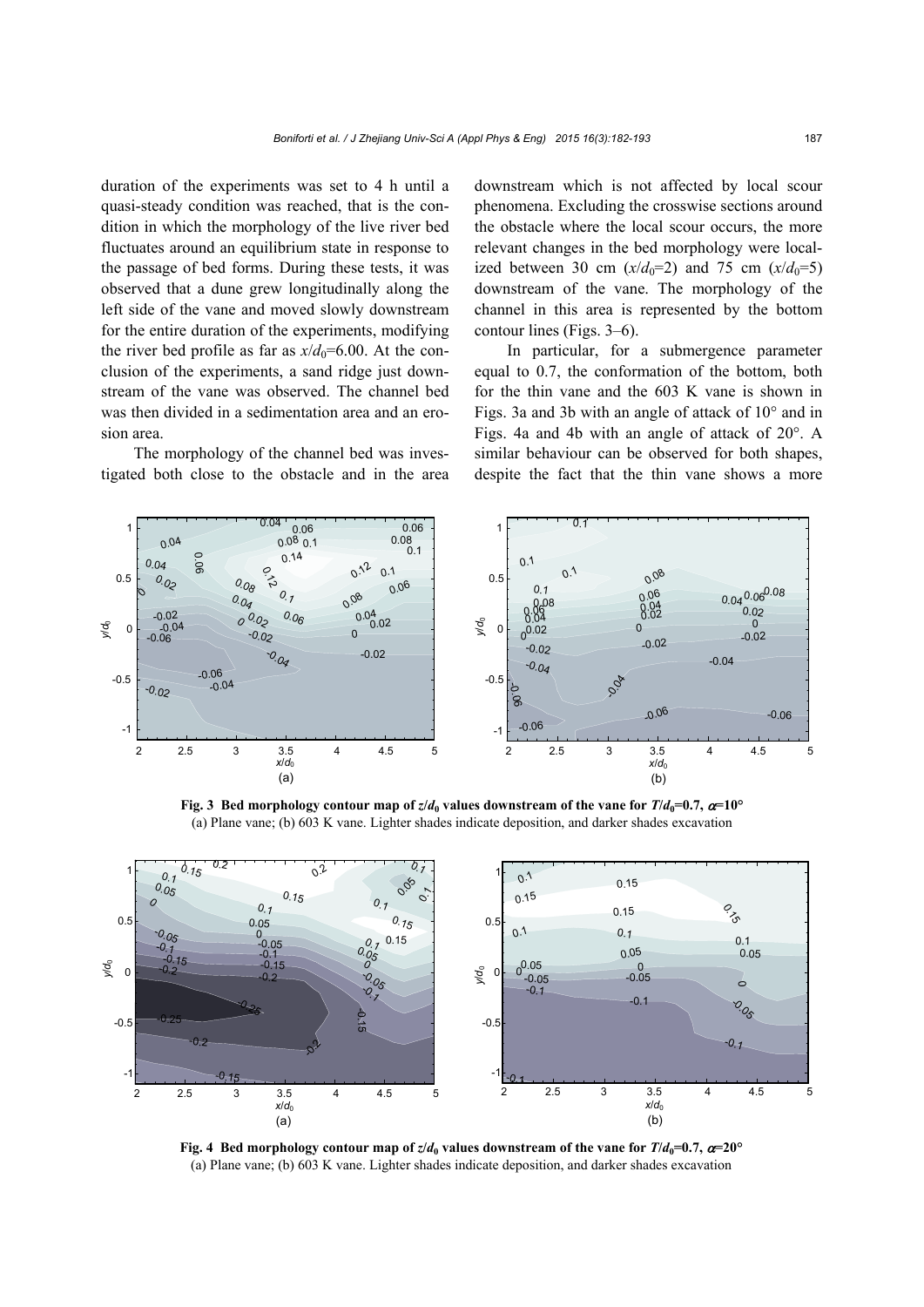duration of the experiments was set to 4 h until a quasi-steady condition was reached, that is the condition in which the morphology of the live river bed fluctuates around an equilibrium state in response to the passage of bed forms. During these tests, it was observed that a dune grew longitudinally along the left side of the vane and moved slowly downstream for the entire duration of the experiments, modifying the river bed profile as far as  $x/d_0=6.00$ . At the conclusion of the experiments, a sand ridge just downstream of the vane was observed. The channel bed was then divided in a sedimentation area and an erosion area.

The morphology of the channel bed was investigated both close to the obstacle and in the area downstream which is not affected by local scour phenomena. Excluding the crosswise sections around the obstacle where the local scour occurs, the more relevant changes in the bed morphology were localized between 30 cm  $(x/d_0=2)$  and 75 cm  $(x/d_0=5)$ downstream of the vane. The morphology of the channel in this area is represented by the bottom contour lines (Figs. 3–6).

In particular, for a submergence parameter equal to 0.7, the conformation of the bottom, both for the thin vane and the 603 K vane is shown in Figs. 3a and 3b with an angle of attack of 10° and in Figs. 4a and 4b with an angle of attack of 20°. A similar behaviour can be observed for both shapes, despite the fact that the thin vane shows a more



**Fig. 3** Bed morphology contour map of  $z/d_0$  values downstream of the vane for  $T/d_0=0.7$ ,  $\alpha=10^\circ$ (a) Plane vane; (b) 603 K vane. Lighter shades indicate deposition, and darker shades excavation



**Fig. 4 Bed morphology contour map of**  $z/d_0$  **values downstream of the vane for**  $T/d_0=0.7$ **,**  $\alpha=20^\circ$ (a) Plane vane; (b) 603 K vane. Lighter shades indicate deposition, and darker shades excavation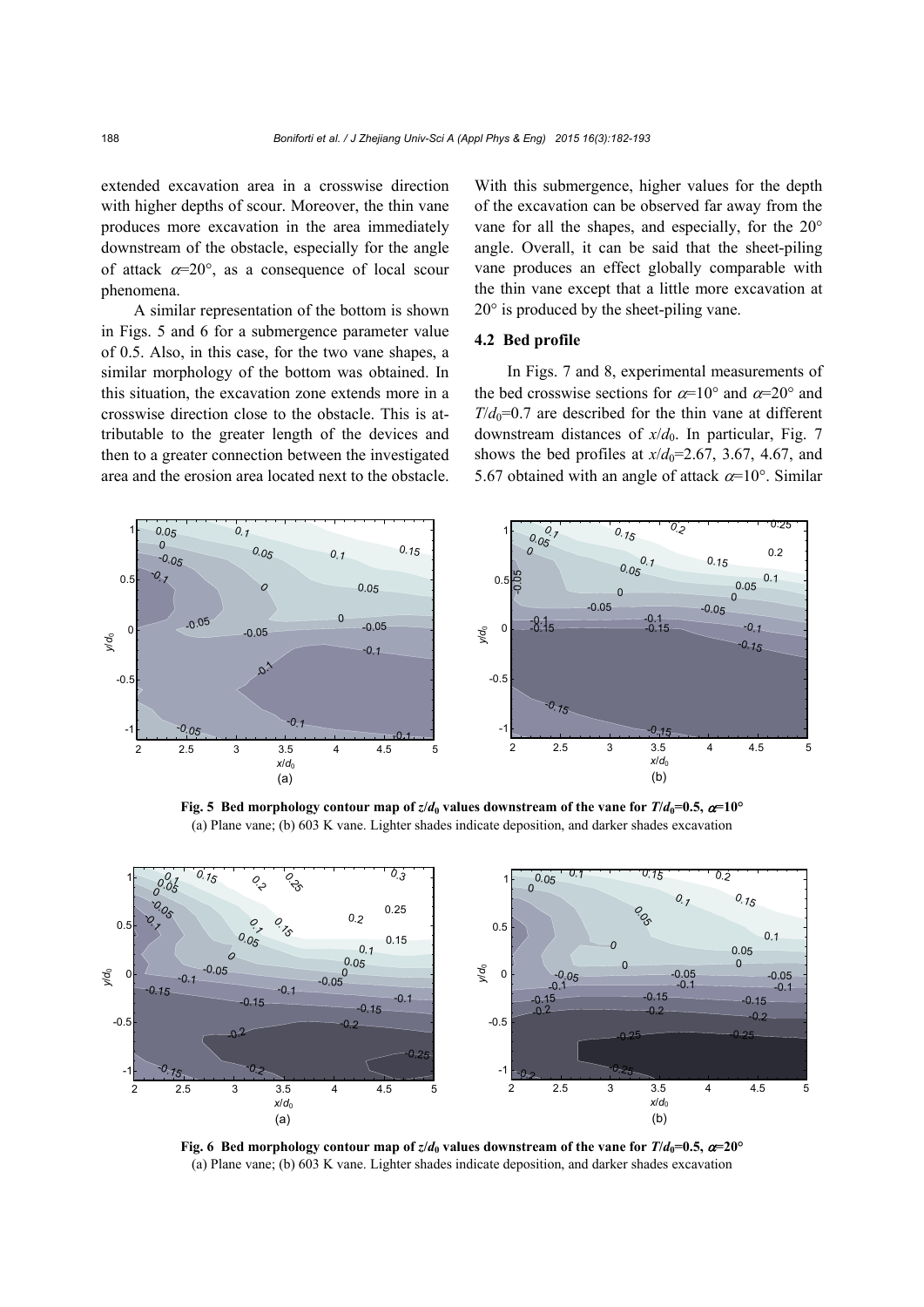extended excavation area in a crosswise direction with higher depths of scour. Moreover, the thin vane produces more excavation in the area immediately downstream of the obstacle, especially for the angle of attack  $\alpha=20^\circ$ , as a consequence of local scour phenomena.

A similar representation of the bottom is shown in Figs. 5 and 6 for a submergence parameter value of 0.5. Also, in this case, for the two vane shapes, a similar morphology of the bottom was obtained. In this situation, the excavation zone extends more in a crosswise direction close to the obstacle. This is attributable to the greater length of the devices and then to a greater connection between the investigated area and the erosion area located next to the obstacle. With this submergence, higher values for the depth of the excavation can be observed far away from the vane for all the shapes, and especially, for the 20° angle. Overall, it can be said that the sheet-piling vane produces an effect globally comparable with the thin vane except that a little more excavation at 20° is produced by the sheet-piling vane.

#### **4.2 Bed profile**

In Figs. 7 and 8, experimental measurements of the bed crosswise sections for  $\alpha=10^{\circ}$  and  $\alpha=20^{\circ}$  and  $T/d_0=0.7$  are described for the thin vane at different downstream distances of  $x/d_0$ . In particular, Fig. 7 shows the bed profiles at  $x/d_0=2.67$ , 3.67, 4.67, and 5.67 obtained with an angle of attack  $\alpha=10^{\circ}$ . Similar



**Fig. 5 Bed morphology contour map of**  $z/d_0$  **values downstream of the vane for**  $T/d_0=0.5$ **,**  $\alpha=10^\circ$ (a) Plane vane; (b) 603 K vane. Lighter shades indicate deposition, and darker shades excavation



**Fig. 6 Bed morphology contour map of**  $z/d_0$  **values downstream of the vane for**  $T/d_0=0.5$ **,**  $\alpha=20^\circ$ (a) Plane vane; (b) 603 K vane. Lighter shades indicate deposition, and darker shades excavation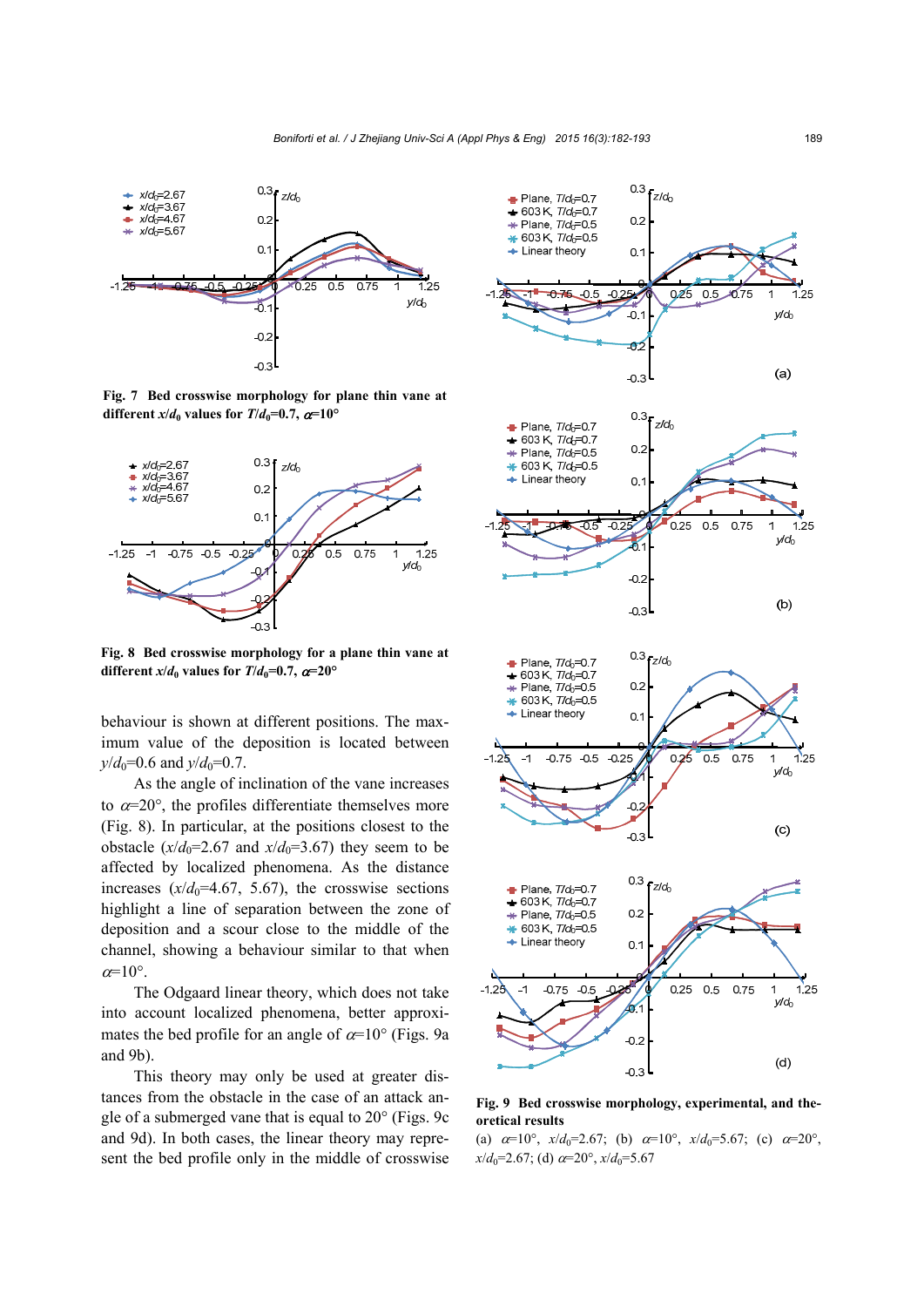

**Fig. 7 Bed crosswise morphology for plane thin vane at different** *x*/*d*<sub>0</sub> values for *T*/*d*<sub>0</sub>=0.7,  $\alpha$ =10°



**Fig. 8 Bed crosswise morphology for a plane thin vane at different**  $x/d_0$  values for  $T/d_0=0.7$ ,  $\alpha=20^\circ$ 

behaviour is shown at different positions. The maximum value of the deposition is located between  $y/d_0=0.6$  and  $y/d_0=0.7$ .

As the angle of inclination of the vane increases to  $\alpha=20^\circ$ , the profiles differentiate themselves more (Fig. 8). In particular, at the positions closest to the obstacle  $(x/d_0=2.67$  and  $x/d_0=3.67$ ) they seem to be affected by localized phenomena. As the distance increases  $(x/d_0=4.67, 5.67)$ , the crosswise sections highlight a line of separation between the zone of deposition and a scour close to the middle of the channel, showing a behaviour similar to that when  $\alpha=10^\circ$ .

The Odgaard linear theory, which does not take into account localized phenomena, better approximates the bed profile for an angle of  $\alpha=10^{\circ}$  (Figs. 9a and 9b).

This theory may only be used at greater distances from the obstacle in the case of an attack angle of a submerged vane that is equal to 20° (Figs. 9c and 9d). In both cases, the linear theory may represent the bed profile only in the middle of crosswise



**Fig. 9 Bed crosswise morphology, experimental, and theoretical results** 

(a)  $\alpha=10^{\circ}$ ,  $x/d_0=2.67$ ; (b)  $\alpha=10^{\circ}$ ,  $x/d_0=5.67$ ; (c)  $\alpha=20^{\circ}$ ,  $x/d_0=2.67$ ; (d)  $\alpha=20^\circ$ ,  $x/d_0=5.67$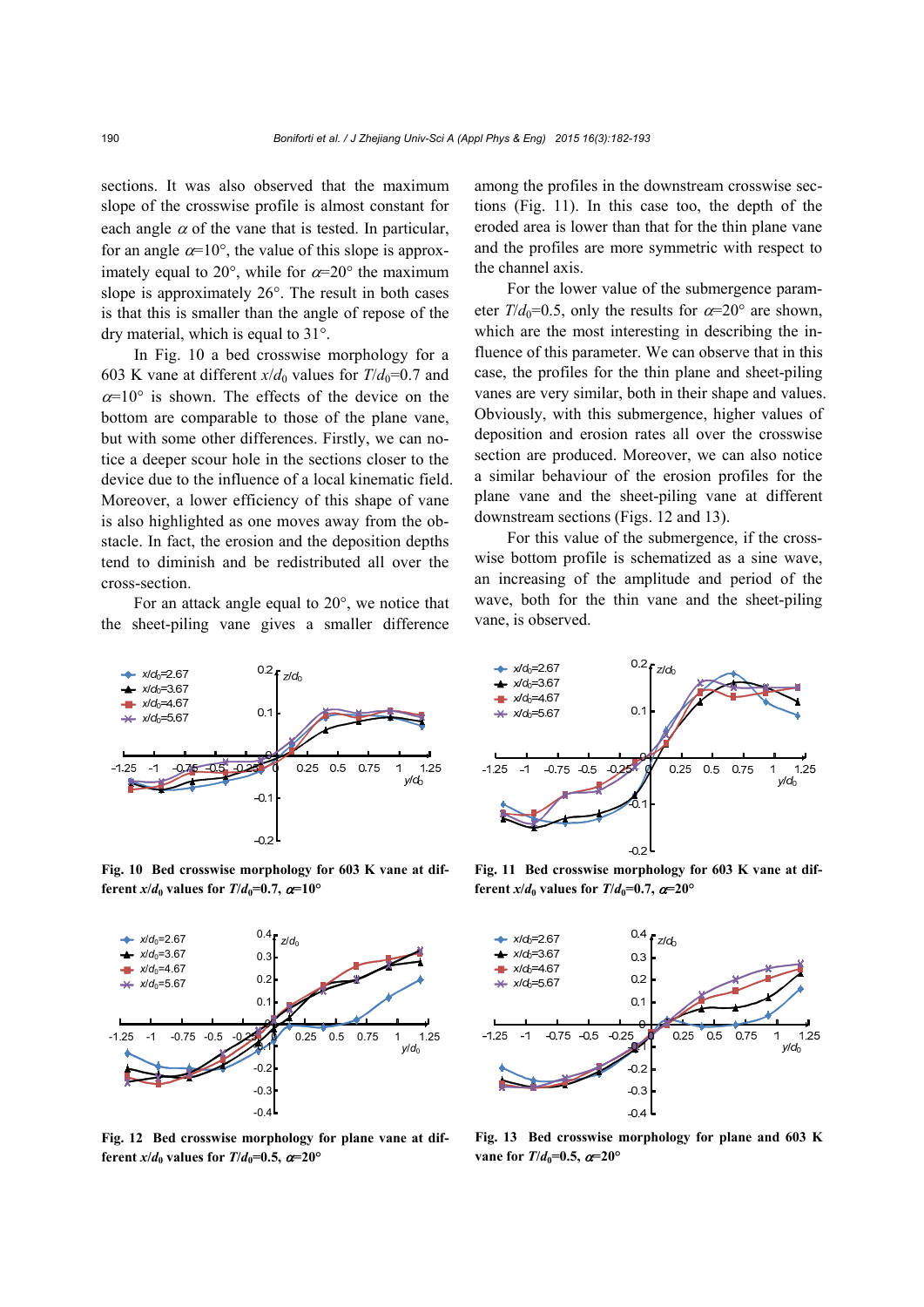sections. It was also observed that the maximum slope of the crosswise profile is almost constant for each angle  $\alpha$  of the vane that is tested. In particular, for an angle  $\alpha=10^{\circ}$ , the value of this slope is approximately equal to 20 $^{\circ}$ , while for  $\alpha = 20^{\circ}$  the maximum slope is approximately 26°. The result in both cases is that this is smaller than the angle of repose of the dry material, which is equal to 31°.

In Fig. 10 a bed crosswise morphology for a 603 K vane at different  $x/d_0$  values for  $T/d_0=0.7$  and  $\alpha=10^{\circ}$  is shown. The effects of the device on the bottom are comparable to those of the plane vane, but with some other differences. Firstly, we can notice a deeper scour hole in the sections closer to the device due to the influence of a local kinematic field. Moreover, a lower efficiency of this shape of vane is also highlighted as one moves away from the obstacle. In fact, the erosion and the deposition depths tend to diminish and be redistributed all over the cross-section.

For an attack angle equal to 20°, we notice that the sheet-piling vane gives a smaller difference among the profiles in the downstream crosswise sections (Fig. 11). In this case too, the depth of the eroded area is lower than that for the thin plane vane and the profiles are more symmetric with respect to the channel axis.

For the lower value of the submergence parameter  $T/d_0=0.5$ , only the results for  $\alpha=20^\circ$  are shown, which are the most interesting in describing the influence of this parameter. We can observe that in this case, the profiles for the thin plane and sheet-piling vanes are very similar, both in their shape and values. Obviously, with this submergence, higher values of deposition and erosion rates all over the crosswise section are produced. Moreover, we can also notice a similar behaviour of the erosion profiles for the plane vane and the sheet-piling vane at different downstream sections (Figs. 12 and 13).

For this value of the submergence, if the crosswise bottom profile is schematized as a sine wave, an increasing of the amplitude and period of the wave, both for the thin vane and the sheet-piling vane, is observed.



**Fig. 10 Bed crosswise morphology for 603 K vane at different**  $x/d_0$  values for  $T/d_0=0.7$ ,  $\alpha=10^\circ$ 



**Fig. 11 Bed crosswise morphology for 603 K vane at different**  $x/d_0$  values for  $T/d_0=0.7$ ,  $\alpha=20^\circ$ 



**Fig. 12 Bed crosswise morphology for plane vane at different**  $x/d_0$  values for  $T/d_0=0.5$ ,  $\alpha=20^\circ$ 



**Fig. 13 Bed crosswise morphology for plane and 603 K vane for** *T*/ $d_0$ =0.5,  $\alpha$ =20°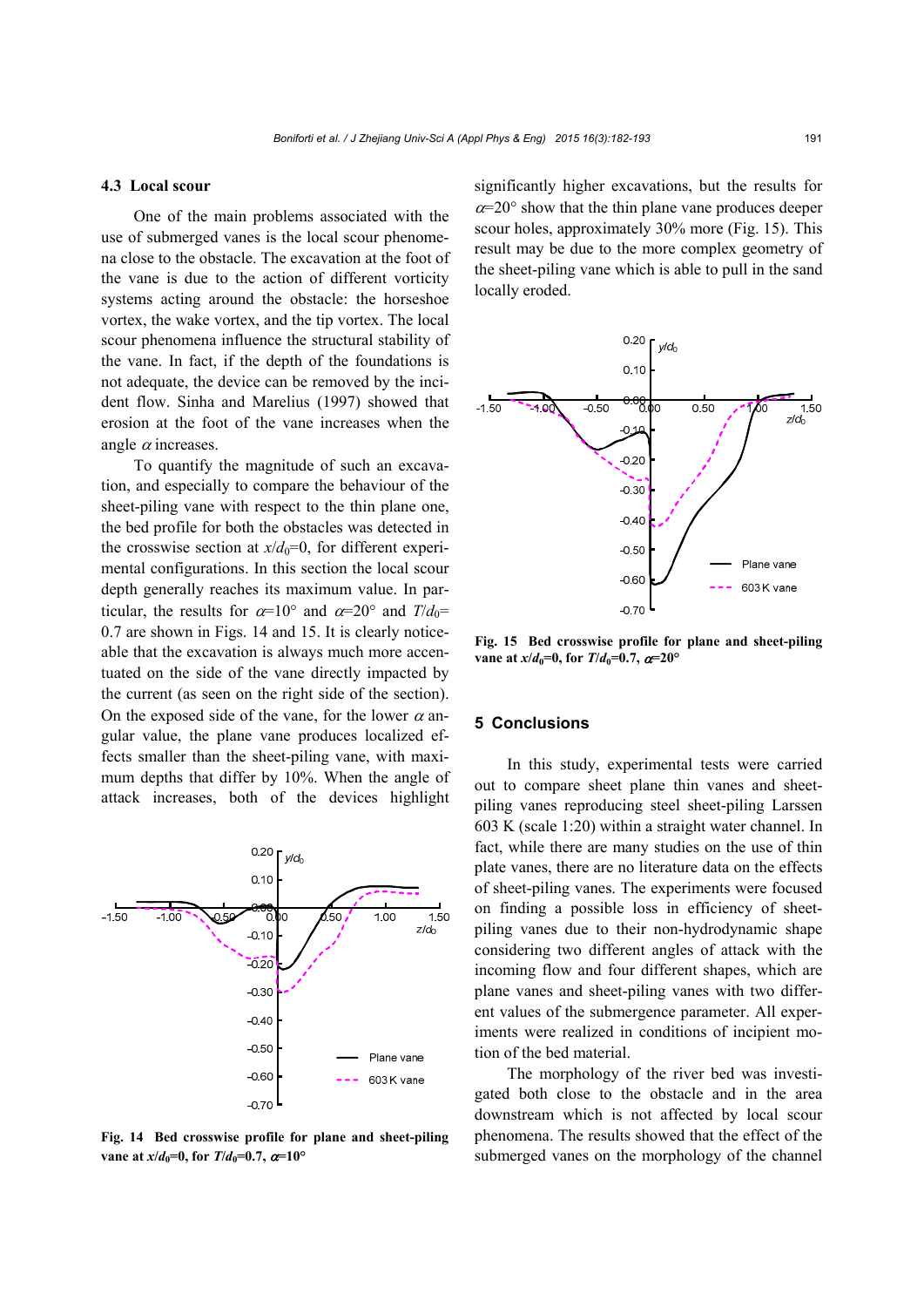#### **4.3 Local scour**

One of the main problems associated with the use of submerged vanes is the local scour phenomena close to the obstacle. The excavation at the foot of the vane is due to the action of different vorticity systems acting around the obstacle: the horseshoe vortex, the wake vortex, and the tip vortex. The local scour phenomena influence the structural stability of the vane. In fact, if the depth of the foundations is not adequate, the device can be removed by the incident flow. Sinha and Marelius (1997) showed that erosion at the foot of the vane increases when the angle  $\alpha$  increases.

To quantify the magnitude of such an excavation, and especially to compare the behaviour of the sheet-piling vane with respect to the thin plane one, the bed profile for both the obstacles was detected in the crosswise section at  $x/d_0=0$ , for different experimental configurations. In this section the local scour depth generally reaches its maximum value. In particular, the results for  $\alpha=10^{\circ}$  and  $\alpha=20^{\circ}$  and  $T/d_0=$ 0.7 are shown in Figs. 14 and 15. It is clearly noticeable that the excavation is always much more accentuated on the side of the vane directly impacted by the current (as seen on the right side of the section). On the exposed side of the vane, for the lower  $\alpha$  angular value, the plane vane produces localized effects smaller than the sheet-piling vane, with maximum depths that differ by 10%. When the angle of attack increases, both of the devices highlight



**Fig. 14 Bed crosswise profile for plane and sheet-piling vane at** *x*/*d*<sub>0</sub>=0, for *T*/*d*<sub>0</sub>=0.7,  $\alpha$ =10°

significantly higher excavations, but the results for  $\alpha$ =20° show that the thin plane vane produces deeper scour holes, approximately 30% more (Fig. 15). This result may be due to the more complex geometry of the sheet-piling vane which is able to pull in the sand locally eroded.



**Fig. 15 Bed crosswise profile for plane and sheet-piling vane at** *x*/*d*<sub>0</sub>=0, for *T*/*d*<sub>0</sub>=0.7,  $\alpha$ =20°

#### **5 Conclusions**

In this study, experimental tests were carried out to compare sheet plane thin vanes and sheetpiling vanes reproducing steel sheet-piling Larssen 603 K (scale 1:20) within a straight water channel. In fact, while there are many studies on the use of thin plate vanes, there are no literature data on the effects of sheet-piling vanes. The experiments were focused on finding a possible loss in efficiency of sheetpiling vanes due to their non-hydrodynamic shape considering two different angles of attack with the incoming flow and four different shapes, which are plane vanes and sheet-piling vanes with two different values of the submergence parameter. All experiments were realized in conditions of incipient motion of the bed material.

The morphology of the river bed was investigated both close to the obstacle and in the area downstream which is not affected by local scour phenomena. The results showed that the effect of the submerged vanes on the morphology of the channel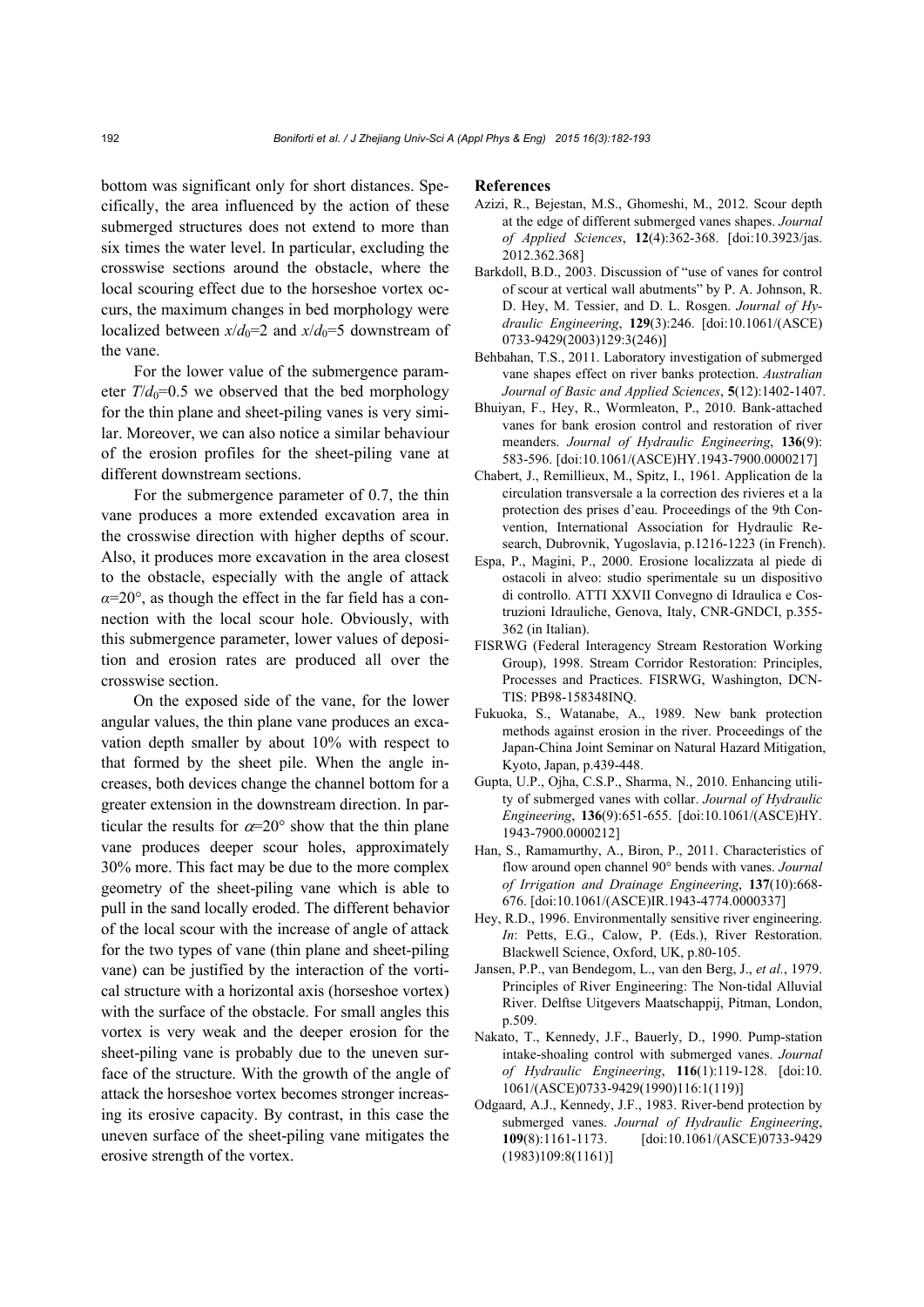bottom was significant only for short distances. Specifically, the area influenced by the action of these submerged structures does not extend to more than six times the water level. In particular, excluding the crosswise sections around the obstacle, where the local scouring effect due to the horseshoe vortex occurs, the maximum changes in bed morphology were localized between  $x/d_0=2$  and  $x/d_0=5$  downstream of the vane.

For the lower value of the submergence parameter  $T/d_0=0.5$  we observed that the bed morphology for the thin plane and sheet-piling vanes is very similar. Moreover, we can also notice a similar behaviour of the erosion profiles for the sheet-piling vane at different downstream sections.

For the submergence parameter of 0.7, the thin vane produces a more extended excavation area in the crosswise direction with higher depths of scour. Also, it produces more excavation in the area closest to the obstacle, especially with the angle of attack  $\alpha$ =20°, as though the effect in the far field has a connection with the local scour hole. Obviously, with this submergence parameter, lower values of deposition and erosion rates are produced all over the crosswise section.

On the exposed side of the vane, for the lower angular values, the thin plane vane produces an excavation depth smaller by about 10% with respect to that formed by the sheet pile. When the angle increases, both devices change the channel bottom for a greater extension in the downstream direction. In particular the results for  $\alpha=20^\circ$  show that the thin plane vane produces deeper scour holes, approximately 30% more. This fact may be due to the more complex geometry of the sheet-piling vane which is able to pull in the sand locally eroded. The different behavior of the local scour with the increase of angle of attack for the two types of vane (thin plane and sheet-piling vane) can be justified by the interaction of the vortical structure with a horizontal axis (horseshoe vortex) with the surface of the obstacle. For small angles this vortex is very weak and the deeper erosion for the sheet-piling vane is probably due to the uneven surface of the structure. With the growth of the angle of attack the horseshoe vortex becomes stronger increasing its erosive capacity. By contrast, in this case the uneven surface of the sheet-piling vane mitigates the erosive strength of the vortex.

#### **References**

- Azizi, R., Bejestan, M.S., Ghomeshi, M., 2012. Scour depth at the edge of different submerged vanes shapes. *Journal of Applied Sciences*, **12**(4):362-368. [doi:10.3923/jas. 2012.362.368]
- Barkdoll, B.D., 2003. Discussion of "use of vanes for control of scour at vertical wall abutments" by P. A. Johnson, R. D. Hey, M. Tessier, and D. L. Rosgen. *Journal of Hydraulic Engineering*, **129**(3):246. [doi:10.1061/(ASCE) 0733-9429(2003)129:3(246)]
- Behbahan, T.S., 2011. Laboratory investigation of submerged vane shapes effect on river banks protection. *Australian Journal of Basic and Applied Sciences*, **5**(12):1402-1407.
- Bhuiyan, F., Hey, R., Wormleaton, P., 2010. Bank-attached vanes for bank erosion control and restoration of river meanders. *Journal of Hydraulic Engineering*, **136**(9): 583-596. [doi:10.1061/(ASCE)HY.1943-7900.0000217]
- Chabert, J., Remillieux, M., Spitz, I., 1961. Application de la circulation transversale a la correction des rivieres et a la protection des prises d'eau. Proceedings of the 9th Convention, International Association for Hydraulic Research, Dubrovnik, Yugoslavia, p.1216-1223 (in French).
- Espa, P., Magini, P., 2000. Erosione localizzata al piede di ostacoli in alveo: studio sperimentale su un dispositivo di controllo. ATTI XXVII Convegno di Idraulica e Costruzioni Idrauliche, Genova, Italy, CNR-GNDCI, p.355- 362 (in Italian).
- FISRWG (Federal Interagency Stream Restoration Working Group), 1998. Stream Corridor Restoration: Principles, Processes and Practices. FISRWG, Washington, DCN-TIS: PB98-158348INQ.
- Fukuoka, S., Watanabe, A., 1989. New bank protection methods against erosion in the river. Proceedings of the Japan-China Joint Seminar on Natural Hazard Mitigation, Kyoto, Japan, p.439-448.
- Gupta, U.P., Ojha, C.S.P., Sharma, N., 2010. Enhancing utility of submerged vanes with collar. *Journal of Hydraulic Engineering*, **136**(9):651-655. [doi:10.1061/(ASCE)HY. 1943-7900.0000212]
- Han, S., Ramamurthy, A., Biron, P., 2011. Characteristics of flow around open channel 90° bends with vanes. *Journal of Irrigation and Drainage Engineering*, **137**(10):668- 676. [doi:10.1061/(ASCE)IR.1943-4774.0000337]
- Hey, R.D., 1996. Environmentally sensitive river engineering. *In*: Petts, E.G., Calow, P. (Eds.), River Restoration. Blackwell Science, Oxford, UK, p.80-105.
- Jansen, P.P., van Bendegom, L., van den Berg, J., *et al.*, 1979. Principles of River Engineering: The Non-tidal Alluvial River. Delftse Uitgevers Maatschappij, Pitman, London, p.509.
- Nakato, T., Kennedy, J.F., Bauerly, D., 1990. Pump-station intake-shoaling control with submerged vanes. *Journal of Hydraulic Engineering*, **116**(1):119-128. [doi:10. 1061/(ASCE)0733-9429(1990)116:1(119)]
- Odgaard, A.J., Kennedy, J.F., 1983. River-bend protection by submerged vanes. *Journal of Hydraulic Engineering*, **109**(8):1161-1173. [doi:10.1061/(ASCE)0733-9429 (1983)109:8(1161)]